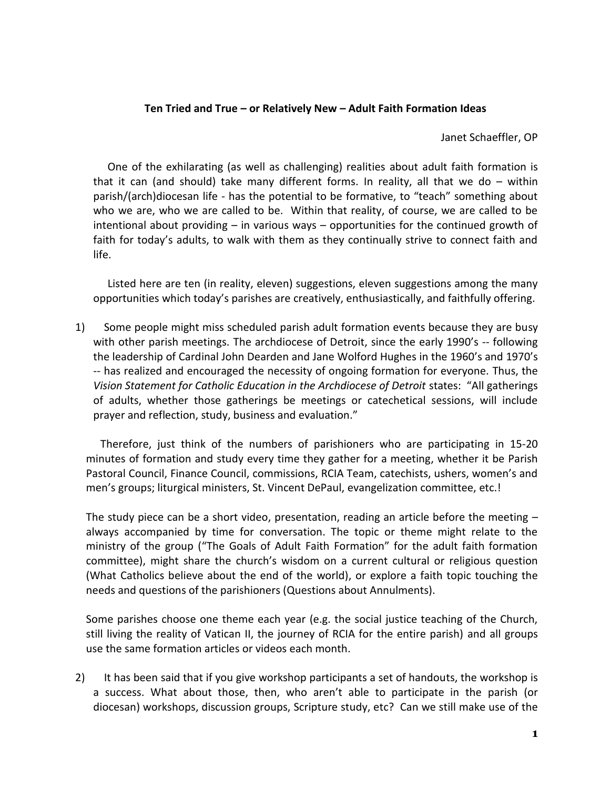## **Ten Tried and True – or Relatively New – Adult Faith Formation Ideas**

Janet Schaeffler, OP

One of the exhilarating (as well as challenging) realities about adult faith formation is that it can (and should) take many different forms. In reality, all that we do – within parish/(arch)diocesan life - has the potential to be formative, to "teach" something about who we are, who we are called to be. Within that reality, of course, we are called to be intentional about providing – in various ways – opportunities for the continued growth of faith for today's adults, to walk with them as they continually strive to connect faith and life.

Listed here are ten (in reality, eleven) suggestions, eleven suggestions among the many opportunities which today's parishes are creatively, enthusiastically, and faithfully offering.

1) Some people might miss scheduled parish adult formation events because they are busy with other parish meetings. The archdiocese of Detroit, since the early 1990's -- following the leadership of Cardinal John Dearden and Jane Wolford Hughes in the 1960's and 1970's -- has realized and encouraged the necessity of ongoing formation for everyone. Thus, the *Vision Statement for Catholic Education in the Archdiocese of Detroit* states: "All gatherings of adults, whether those gatherings be meetings or catechetical sessions, will include prayer and reflection, study, business and evaluation."

Therefore, just think of the numbers of parishioners who are participating in 15-20 minutes of formation and study every time they gather for a meeting, whether it be Parish Pastoral Council, Finance Council, commissions, RCIA Team, catechists, ushers, women's and men's groups; liturgical ministers, St. Vincent DePaul, evangelization committee, etc.!

The study piece can be a short video, presentation, reading an article before the meeting  $$ always accompanied by time for conversation. The topic or theme might relate to the ministry of the group ("The Goals of Adult Faith Formation" for the adult faith formation committee), might share the church's wisdom on a current cultural or religious question (What Catholics believe about the end of the world), or explore a faith topic touching the needs and questions of the parishioners (Questions about Annulments).

Some parishes choose one theme each year (e.g. the social justice teaching of the Church, still living the reality of Vatican II, the journey of RCIA for the entire parish) and all groups use the same formation articles or videos each month.

2) It has been said that if you give workshop participants a set of handouts, the workshop is a success. What about those, then, who aren't able to participate in the parish (or diocesan) workshops, discussion groups, Scripture study, etc? Can we still make use of the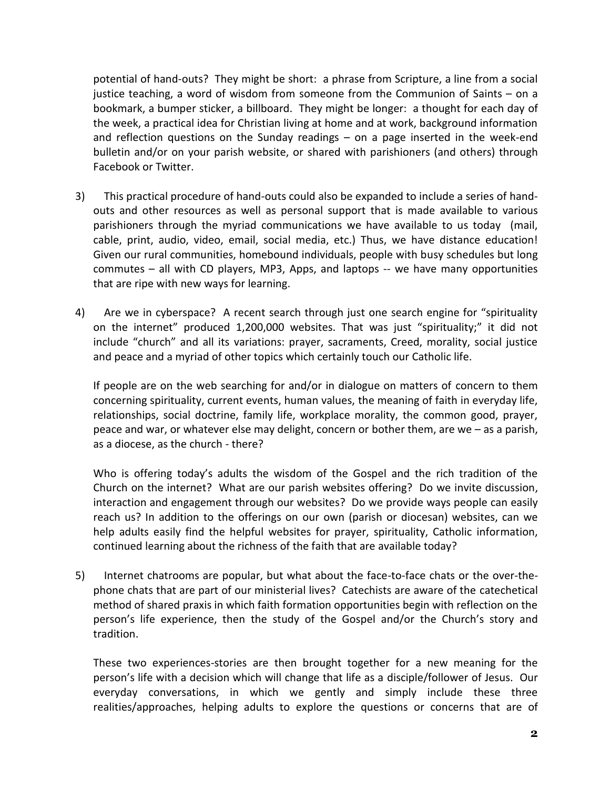potential of hand-outs? They might be short: a phrase from Scripture, a line from a social justice teaching, a word of wisdom from someone from the Communion of Saints – on a bookmark, a bumper sticker, a billboard. They might be longer: a thought for each day of the week, a practical idea for Christian living at home and at work, background information and reflection questions on the Sunday readings – on a page inserted in the week-end bulletin and/or on your parish website, or shared with parishioners (and others) through Facebook or Twitter.

- 3) This practical procedure of hand-outs could also be expanded to include a series of handouts and other resources as well as personal support that is made available to various parishioners through the myriad communications we have available to us today (mail, cable, print, audio, video, email, social media, etc.) Thus, we have distance education! Given our rural communities, homebound individuals, people with busy schedules but long commutes – all with CD players, MP3, Apps, and laptops -- we have many opportunities that are ripe with new ways for learning.
- 4) Are we in cyberspace? A recent search through just one search engine for "spirituality on the internet" produced 1,200,000 websites. That was just "spirituality;" it did not include "church" and all its variations: prayer, sacraments, Creed, morality, social justice and peace and a myriad of other topics which certainly touch our Catholic life.

If people are on the web searching for and/or in dialogue on matters of concern to them concerning spirituality, current events, human values, the meaning of faith in everyday life, relationships, social doctrine, family life, workplace morality, the common good, prayer, peace and war, or whatever else may delight, concern or bother them, are we – as a parish, as a diocese, as the church - there?

Who is offering today's adults the wisdom of the Gospel and the rich tradition of the Church on the internet? What are our parish websites offering? Do we invite discussion, interaction and engagement through our websites? Do we provide ways people can easily reach us? In addition to the offerings on our own (parish or diocesan) websites, can we help adults easily find the helpful websites for prayer, spirituality, Catholic information, continued learning about the richness of the faith that are available today?

5) Internet chatrooms are popular, but what about the face-to-face chats or the over-thephone chats that are part of our ministerial lives? Catechists are aware of the catechetical method of shared praxis in which faith formation opportunities begin with reflection on the person's life experience, then the study of the Gospel and/or the Church's story and tradition.

These two experiences-stories are then brought together for a new meaning for the person's life with a decision which will change that life as a disciple/follower of Jesus. Our everyday conversations, in which we gently and simply include these three realities/approaches, helping adults to explore the questions or concerns that are of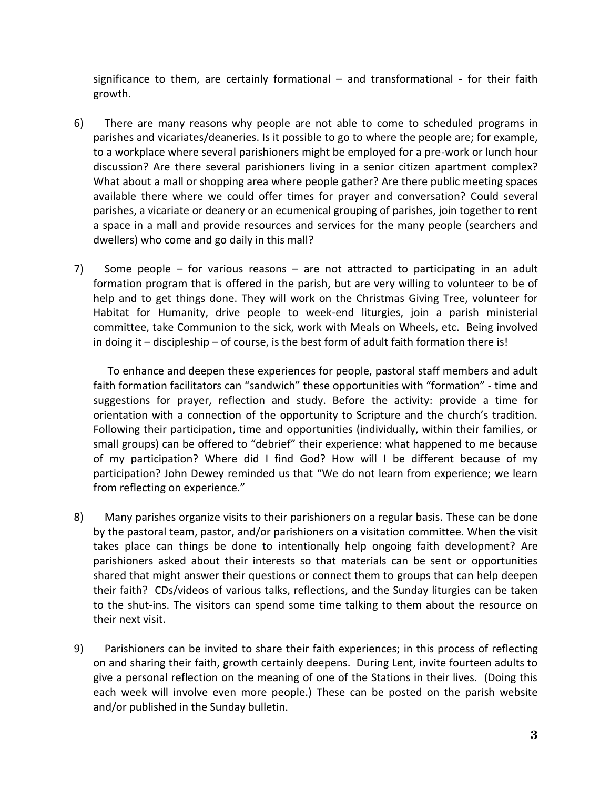significance to them, are certainly formational – and transformational - for their faith growth.

- 6) There are many reasons why people are not able to come to scheduled programs in parishes and vicariates/deaneries. Is it possible to go to where the people are; for example, to a workplace where several parishioners might be employed for a pre-work or lunch hour discussion? Are there several parishioners living in a senior citizen apartment complex? What about a mall or shopping area where people gather? Are there public meeting spaces available there where we could offer times for prayer and conversation? Could several parishes, a vicariate or deanery or an ecumenical grouping of parishes, join together to rent a space in a mall and provide resources and services for the many people (searchers and dwellers) who come and go daily in this mall?
- 7) Some people for various reasons are not attracted to participating in an adult formation program that is offered in the parish, but are very willing to volunteer to be of help and to get things done. They will work on the Christmas Giving Tree, volunteer for Habitat for Humanity, drive people to week-end liturgies, join a parish ministerial committee, take Communion to the sick, work with Meals on Wheels, etc. Being involved in doing it – discipleship – of course, is the best form of adult faith formation there is!

To enhance and deepen these experiences for people, pastoral staff members and adult faith formation facilitators can "sandwich" these opportunities with "formation" - time and suggestions for prayer, reflection and study. Before the activity: provide a time for orientation with a connection of the opportunity to Scripture and the church's tradition. Following their participation, time and opportunities (individually, within their families, or small groups) can be offered to "debrief" their experience: what happened to me because of my participation? Where did I find God? How will I be different because of my participation? John Dewey reminded us that "We do not learn from experience; we learn from reflecting on experience."

- 8) Many parishes organize visits to their parishioners on a regular basis. These can be done by the pastoral team, pastor, and/or parishioners on a visitation committee. When the visit takes place can things be done to intentionally help ongoing faith development? Are parishioners asked about their interests so that materials can be sent or opportunities shared that might answer their questions or connect them to groups that can help deepen their faith? CDs/videos of various talks, reflections, and the Sunday liturgies can be taken to the shut-ins. The visitors can spend some time talking to them about the resource on their next visit.
- 9) Parishioners can be invited to share their faith experiences; in this process of reflecting on and sharing their faith, growth certainly deepens. During Lent, invite fourteen adults to give a personal reflection on the meaning of one of the Stations in their lives. (Doing this each week will involve even more people.) These can be posted on the parish website and/or published in the Sunday bulletin.